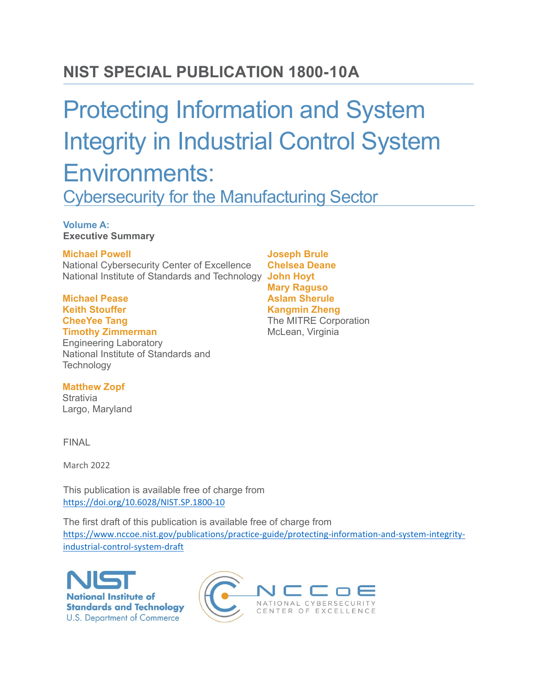# **NIST SPECIAL PUBLICATION 1800-10A**

# Protecting Information and System Integrity in Industrial Control System Environments:

Cybersecurity for the Manufacturing Sector

#### **Volume A: Executive Summary**

#### **Michael Powell**

National Cybersecurity Center of Excellence National Institute of Standards and Technology **John Hoyt**

**Michael Pease Keith Stouffer CheeYee Tang Timothy Zimmerman** 

Engineering Laboratory National Institute of Standards and **Technology** 

**Joseph Brule Chelsea Deane Mary Raguso Aslam Sherule Kangmin Zheng**  The MITRE Corporation McLean, Virginia

**Matthew Zopf Strativia** Largo, Maryland

FINAL

March 2022

This publication is available free of charge from <https://doi.org/10.6028/NIST.SP.1800-10>

The first draft of this publication is available free of charge from [https://www.nccoe.nist.gov/publications/practice-guide/protecting-information-and-system-integrity](https://www.nccoe.nist.gov/publications/practice-guide/protecting-information-and-system-integrity-industrial-control-system-draft)[industrial-control-system-draft](https://www.nccoe.nist.gov/publications/practice-guide/protecting-information-and-system-integrity-industrial-control-system-draft)



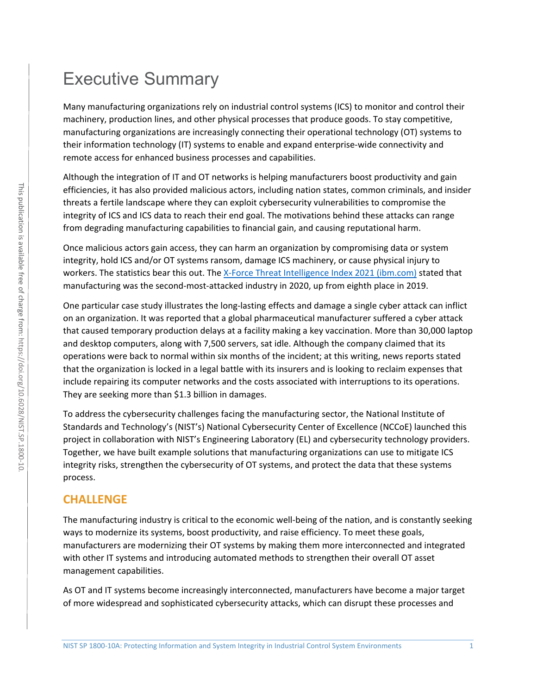# Executive Summary

Many manufacturing organizations rely on industrial control systems (ICS) to monitor and control their machinery, production lines, and other physical processes that produce goods. To stay competitive, manufacturing organizations are increasingly connecting their operational technology (OT) systems to their information technology (IT) systems to enable and expand enterprise-wide connectivity and remote access for enhanced business processes and capabilities.

Although the integration of IT and OT networks is helping manufacturers boost productivity and gain efficiencies, it has also provided malicious actors, including nation states, common criminals, and insider threats a fertile landscape where they can exploit cybersecurity vulnerabilities to compromise the integrity of ICS and ICS data to reach their end goal. The motivations behind these attacks can range from degrading manufacturing capabilities to financial gain, and causing reputational harm.

Once malicious actors gain access, they can harm an organization by compromising data or system integrity, hold ICS and/or OT systems ransom, damage ICS machinery, or cause physical injury to workers. The statistics bear this out. The [X-Force Threat Intelligence Index 2021 \(ibm.com\)](https://www.ibm.com/downloads/cas/M1X3B7QG) stated that manufacturing was the second-most-attacked industry in 2020, up from eighth place in 2019.

One particular case study illustrates the long-lasting effects and damage a single cyber attack can inflict on an organization. It was reported that a global pharmaceutical manufacturer suffered a cyber attack that caused temporary production delays at a facility making a key vaccination. More than 30,000 laptop and desktop computers, along with 7,500 servers, sat idle. Although the company claimed that its operations were back to normal within six months of the incident; at this writing, news reports stated that the organization is locked in a legal battle with its insurers and is looking to reclaim expenses that include repairing its computer networks and the costs associated with interruptions to its operations. They are seeking more than \$1.3 billion in damages.

To address the cybersecurity challenges facing the manufacturing sector, the National Institute of Standards and Technology's (NIST's) National Cybersecurity Center of Excellence (NCCoE) launched this project in collaboration with NIST's Engineering Laboratory (EL) and cybersecurity technology providers. Together, we have built example solutions that manufacturing organizations can use to mitigate ICS integrity risks, strengthen the cybersecurity of OT systems, and protect the data that these systems process.

### **CHALLENGE**

The manufacturing industry is critical to the economic well-being of the nation, and is constantly seeking ways to modernize its systems, boost productivity, and raise efficiency. To meet these goals, manufacturers are modernizing their OT systems by making them more interconnected and integrated with other IT systems and introducing automated methods to strengthen their overall OT asset management capabilities.

As OT and IT systems become increasingly interconnected, manufacturers have become a major target of more widespread and sophisticated cybersecurity attacks, which can disrupt these processes and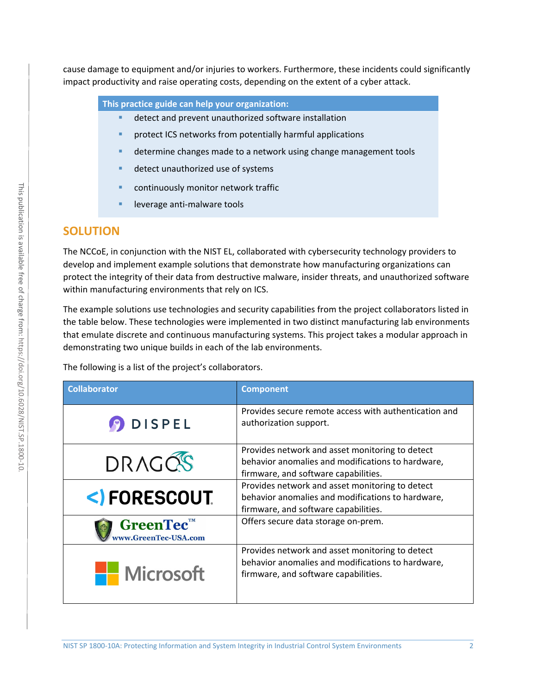cause damage to equipment and/or injuries to workers. Furthermore, these incidents could significantly impact productivity and raise operating costs, depending on the extent of a cyber attack.

**This practice guide can help your organization:**

- **•** detect and prevent unauthorized software installation
- protect ICS networks from potentially harmful applications
- determine changes made to a network using change management tools
- detect unauthorized use of systems
- continuously monitor network traffic
- leverage anti-malware tools

### **SOLUTION**

The NCCoE, in conjunction with the NIST EL, collaborated with cybersecurity technology providers to develop and implement example solutions that demonstrate how manufacturing organizations can protect the integrity of their data from destructive malware, insider threats, and unauthorized software within manufacturing environments that rely on ICS.

The example solutions use technologies and security capabilities from the project collaborators listed in the table below. These technologies were implemented in two distinct manufacturing lab environments that emulate discrete and continuous manufacturing systems. This project takes a modular approach in demonstrating two unique builds in each of the lab environments.

The following is a list of the project's collaborators.

| <b>Collaborator</b>               | <b>Component</b>                                                                                                                             |
|-----------------------------------|----------------------------------------------------------------------------------------------------------------------------------------------|
| <b>DISPEL</b>                     | Provides secure remote access with authentication and<br>authorization support.                                                              |
| DRAGOS                            | Provides network and asset monitoring to detect<br>behavior anomalies and modifications to hardware,<br>firmware, and software capabilities. |
| <)FORESCOUT                       | Provides network and asset monitoring to detect<br>behavior anomalies and modifications to hardware,<br>firmware, and software capabilities. |
| GreenTec™<br>www.GreenTec-USA.com | Offers secure data storage on-prem.                                                                                                          |
| <b>Exercise 15</b> Microsoft      | Provides network and asset monitoring to detect<br>behavior anomalies and modifications to hardware,<br>firmware, and software capabilities. |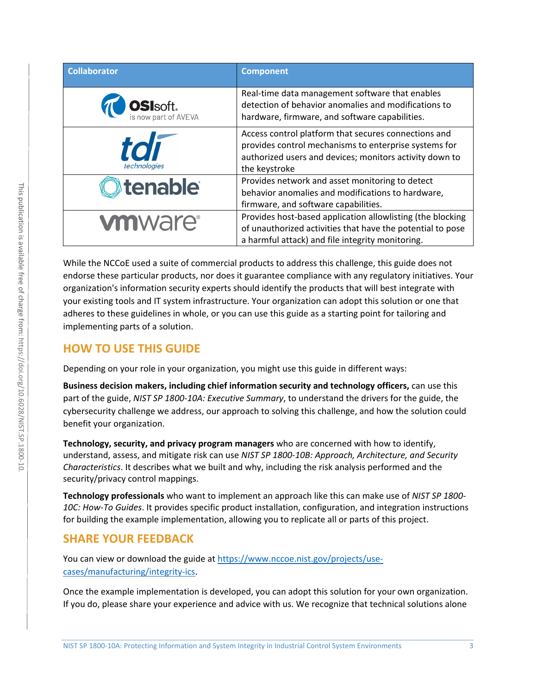| <b>Collaborator</b>                      | <b>Component</b>                                                                                                                                                                          |
|------------------------------------------|-------------------------------------------------------------------------------------------------------------------------------------------------------------------------------------------|
| <b>OSI</b> soft.<br>is now part of AVEVA | Real-time data management software that enables<br>detection of behavior anomalies and modifications to<br>hardware, firmware, and software capabilities.                                 |
| tdi<br>technologies                      | Access control platform that secures connections and<br>provides control mechanisms to enterprise systems for<br>authorized users and devices; monitors activity down to<br>the keystroke |
| <b>Stenable</b>                          | Provides network and asset monitoring to detect<br>behavior anomalies and modifications to hardware,<br>firmware, and software capabilities.                                              |
| <b>vmware</b> <sup>®</sup>               | Provides host-based application allowlisting (the blocking<br>of unauthorized activities that have the potential to pose<br>a harmful attack) and file integrity monitoring.              |

While the NCCoE used a suite of commercial products to address this challenge, this guide does not endorse these particular products, nor does it guarantee compliance with any regulatory initiatives. Your organization's information security experts should identify the products that will best integrate with your existing tools and IT system infrastructure. Your organization can adopt this solution or one that adheres to these guidelines in whole, or you can use this guide as a starting point for tailoring and implementing parts of a solution.

## **HOW TO USE THIS GUIDE**

Depending on your role in your organization, you might use this guide in different ways:

**Business decision makers, including chief information security and technology officers,** can use this part of the guide, *NIST SP 1800-10A: Executive Summary*, to understand the drivers for the guide, the cybersecurity challenge we address, our approach to solving this challenge, and how the solution could benefit your organization.

**Technology, security, and privacy program managers** who are concerned with how to identify, understand, assess, and mitigate risk can use *NIST SP 1800-10B: Approach, Architecture, and Security Characteristics*. It describes what we built and why, including the risk analysis performed and the security/privacy control mappings.

**Technology professionals** who want to implement an approach like this can make use of *NIST SP 1800- 10C: How-To Guides*. It provides specific product installation, configuration, and integration instructions for building the example implementation, allowing you to replicate all or parts of this project.

## **SHARE YOUR FEEDBACK**

You can view or download the guide at [https://www.nccoe.nist.gov/projects/use](https://www.nccoe.nist.gov/projects/use-cases/manufacturing/integrity-ics)[cases/manufacturing/integrity-ics.](https://www.nccoe.nist.gov/projects/use-cases/manufacturing/integrity-ics)

Once the example implementation is developed, you can adopt this solution for your own organization. If you do, please share your experience and advice with us. We recognize that technical solutions alone